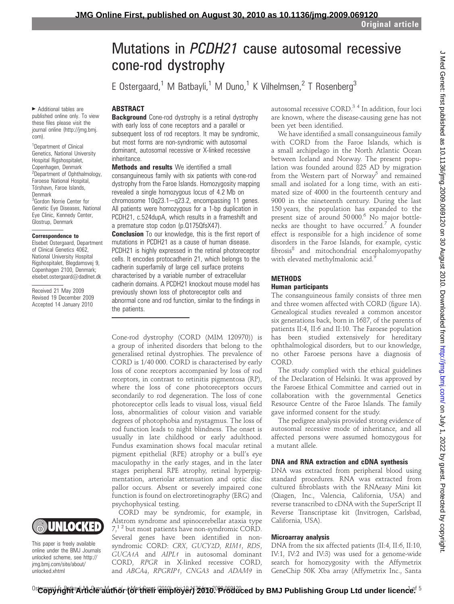# Mutations in PCDH21 cause autosomal recessive cone-rod dystrophy

E Ostergaard,<sup>1</sup> M Batbayli,<sup>1</sup> M Duno,<sup>1</sup> K Vilhelmsen,<sup>2</sup> T Rosenberg<sup>3</sup>

### ABSTRACT

**Background** Cone-rod dystrophy is a retinal dystrophy with early loss of cone receptors and a parallel or subsequent loss of rod receptors. It may be syndromic, but most forms are non-syndromic with autosomal dominant, autosomal recessive or X-linked recessive inheritance.

**Methods and results** We identified a small consanguineous family with six patients with cone-rod dystrophy from the Faroe Islands. Homozygosity mapping revealed a single homozygous locus of 4.2 Mb on chromosome  $10q23.1-q23.2$ , encompassing 11 genes. All patients were homozygous for a 1-bp duplication in PCDH21, c.524dupA, which results in a frameshift and a premature stop codon (p.Q175QfsX47).

**Conclusion** To our knowledge, this is the first report of mutations in PCDH21 as a cause of human disease. PCDH21 is highly expressed in the retinal photoreceptor cells. It encodes protocadherin 21, which belongs to the cadherin superfamily of large cell surface proteins characterised by a variable number of extracellular cadherin domains. A PCDH21 knockout mouse model has previously shown loss of photoreceptor cells and abnormal cone and rod function, similar to the findings in the patients.

Cone-rod dystrophy (CORD (MIM 120970)) is a group of inherited disorders that belong to the generalised retinal dystrophies. The prevalence of CORD is 1/40 000. CORD is characterised by early loss of cone receptors accompanied by loss of rod receptors, in contrast to retinitis pigmentosa (RP), where the loss of cone photoreceptors occurs secondarily to rod degeneration. The loss of cone photoreceptor cells leads to visual loss, visual field loss, abnormalities of colour vision and variable degrees of photophobia and nystagmus. The loss of rod function leads to night blindness. The onset is usually in late childhood or early adulthood. Fundus examination shows focal macular retinal pigment epithelial (RPE) atrophy or a bull's eye maculopathy in the early stages, and in the later stages peripheral RPE atrophy, retinal hyperpigmentation, arteriolar attenuation and optic disc pallor occurs. Absent or severely impaired cone function is found on electroretinography (ERG) and psychophysical testing.

CORD may be syndromic, for example, in Alstrom syndrome and spinocerebellar ataxia type  $7<sup>12</sup>$  but most patients have non-syndromic CORD. Several genes have been identified in nonsyndromic CORD: CRX, GUCY2D, RIM1, RDS, GUCA1A and AIPL1 in autosomal dominant CORD, RPGR in X-linked recessive CORD, and ABCA4, RPGRIP1, CNGA3 and ADAM9 in autosomal recessive CORD.<sup>34</sup> In addition, four loci are known, where the disease-causing gene has not been yet been identified.

We have identified a small consanguineous family with CORD from the Faroe Islands, which is a small archipelago in the North Atlantic Ocean between Iceland and Norway. The present population was founded around 825 AD by migration from the Western part of Norway<sup>5</sup> and remained small and isolated for a long time, with an estimated size of 4000 in the fourteenth century and 9000 in the nineteenth century. During the last 150 years, the population has expanded to the present size of around 50000.<sup>6</sup> No major bottlenecks are thought to have occurred.<sup>7</sup> A founder effect is responsible for a high incidence of some disorders in the Faroe Islands, for example, cystic fibrosis<sup>8</sup> and mitochondrial encephalomyopathy with elevated methylmalonic acid.<sup>9</sup>

## **METHODS**

### Human participants

The consanguineous family consists of three men and three women affected with CORD (figure 1A). Genealogical studies revealed a common ancestor six generations back, born in 1687, of the parents of patients II:4, II:6 and II:10. The Faroese population has been studied extensively for hereditary ophthalmological disorders, but to our knowledge, no other Faroese persons have a diagnosis of CORD.

The study complied with the ethical guidelines of the Declaration of Helsinki. It was approved by the Faroese Ethical Committee and carried out in collaboration with the governmental Genetics Resource Centre of the Faroe Islands. The family gave informed consent for the study.

The pedigree analysis provided strong evidence of autosomal recessive mode of inheritance, and all affected persons were assumed homozygous for a mutant allele.

### DNA and RNA extraction and cDNA synthesis

DNA was extracted from peripheral blood using standard procedures. RNA was extracted from cultured fibroblasts with the RNAeasy Mini kit (Qiagen, Inc., Valencia, California, USA) and reverse transcribed to cDNA with the SuperScript II Reverse Transcriptase kit (Invitrogen, Carlsbad, California, USA).

### Microarray analysis

DNA from the six affected patients (II:4, II:6, II:10, IV:1, IV:2 and IV:3) was used for a genome-wide search for homozygosity with the Affymetrix GeneChip 50K Xba array (Affymetrix Inc., Santa

▶ Additional tables are published online only. To view these files please visit the journal online (http://jmg.bmj. com).

<sup>1</sup>Department of Clinical Genetics, National University Hospital Rigshospitalet, Copenhagen, Denmark <sup>2</sup>Department of Ophthalmology, Faroese National Hospital, Tórshavn, Faroe Islands, Denmark <sup>3</sup>Gordon Norrie Center for Genetic Eye Diseases, National Eye Clinic, Kennedy Center, Glostrup, Denmark

#### Correspondence to

Elsebet Ostergaard, Department of Clinical Genetics 4062, National University Hospital Rigshospitalet, Blegdamsvej 9, Copenhagen 2100, Denmark; elsebet.ostergaard@dadlnet.dk

Received 21 May 2009 Revised 19 December 2009 Accepted 14 January 2010



This paper is freely available online under the BMJ Journals unlocked scheme, see http:// jmg.bmj.com/site/about/ unlocked.xhtml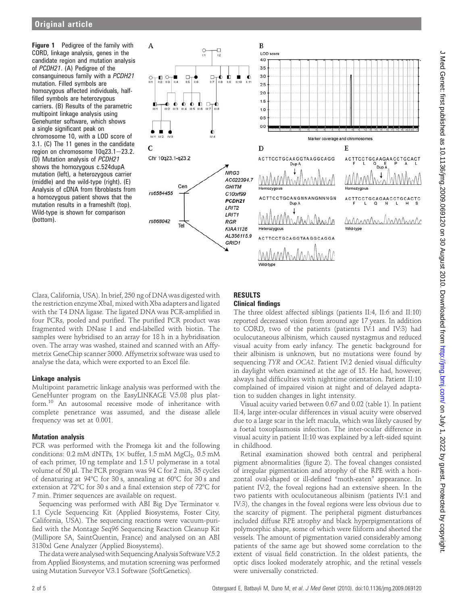**Figure 1** Pedigree of the family with CORD, linkage analysis, genes in the candidate region and mutation analysis of PCDH21. (A) Pedigree of the consanguineous family with a PCDH21 mutation. Filled symbols are homozygous affected individuals, halffilled symbols are heterozygous carriers. (B) Results of the parametric multipoint linkage analysis using Genehunter software, which shows a single significant peak on chromosome 10, with a LOD score of 3.1. (C) The 11 genes in the candidate region on chromosome  $10q23.1 - 23.2$ . (D) Mutation analysis of PCDH21 shows the homozygous c.524dupA mutation (left), a heterozygous carrier (middle) and the wild-type (right). (E) Analysis of cDNA from fibroblasts from a homozygous patient shows that the mutation results in a frameshift (top). Wild-type is shown for comparison (bottom).



Clara, California, USA). In brief, 250 ng of DNAwas digested with the restriction enzyme XbaI, mixed with Xba adapters and ligated with the T4 DNA ligase. The ligated DNA was PCR-amplified in four PCRs, pooled and purified. The purified PCR product was fragmented with DNase I and end-labelled with biotin. The samples were hybridised to an array for 18 h in a hybridisation oven. The array was washed, stained and scanned with an Affymetrix GeneChip scanner 3000. Affymetrix software was used to analyse the data, which were exported to an Excel file.

### Linkage analysis

Multipoint parametric linkage analysis was performed with the GeneHunter program on the EasyLINKAGE V.5.08 plus platform.<sup>10</sup> An autosomal recessive mode of inheritance with complete penetrance was assumed, and the disease allele frequency was set at 0.001.

### Mutation analysis

PCR was performed with the Promega kit and the following conditions: 0.2 mM dNTPs,  $1 \times$  buffer, 1.5 mM MgCl<sub>2</sub>, 0.5 mM of each primer, 10 ng template and 1.5 U polymerase in a total volume of 50  $\mu$ l. The PCR program was 94 C for 2 min, 35 cycles of denaturing at 94°C for 30 s, annealing at 60°C for 30 s and extension at  $72^{\circ}$ C for 30 s and a final extension step of  $72^{\circ}$ C for 7 min. Primer sequences are available on request.

Sequencing was performed with ABI Big Dye Terminator v. 1.1 Cycle Sequencing Kit (Applied Biosystems, Foster City, California, USA). The sequencing reactions were vacuum-purified with the Montage Seq96 Sequencing Reaction Cleanup Kit (Millipore SA, SaintQuentin, France) and analysed on an ABI 3130xl Gene Analyzer (Applied Biosystems).

The data were analysed with Sequencing Analysis Software V.5.2 from Applied Biosystems, and mutation screening was performed using Mutation Surveyor V.3.1 Software (SoftGenetics).

# RESULTS

### Clinical findings

The three oldest affected siblings (patients II:4, II:6 and II:10) reported decreased vision from around age 17 years. In addition to CORD, two of the patients (patients IV:1 and IV:3) had oculocutaneous albinism, which caused nystagmus and reduced visual acuity from early infancy. The genetic background for their albinism is unknown, but no mutations were found by sequencing TYR and OCA2. Patient IV:2 denied visual difficulty in daylight when examined at the age of 15. He had, however, always had difficulties with nighttime orientation. Patient II:10 complained of impaired vision at night and of delayed adaptation to sudden changes in light intensity.

Visual acuity varied between 0.67 and 0.02 (table 1). In patient II:4, large inter-ocular differences in visual acuity were observed due to a large scar in the left macula, which was likely caused by a foetal toxoplasmosis infection. The inter-ocular difference in visual acuity in patient II:10 was explained by a left-sided squint in childhood.

Retinal examination showed both central and peripheral pigment abnormalities (figure 2). The foveal changes consisted of irregular pigmentation and atrophy of the RPE with a horizontal oval-shaped or ill-defined "moth-eaten" appearance. In patient IV:2, the foveal regions had an extensive sheen. In the two patients with oculocutaneous albinism (patients IV:1 and IV:3), the changes in the foveal regions were less obvious due to the scarcity of pigment. The peripheral pigment disturbances included diffuse RPE atrophy and black hyperpigmentations of polymorphic shape, some of which were filiform and sheeted the vessels. The amount of pigmentation varied considerably among patients of the same age but showed some correlation to the extent of visual field constriction. In the oldest patients, the optic discs looked moderately atrophic, and the retinal vessels were universally constricted.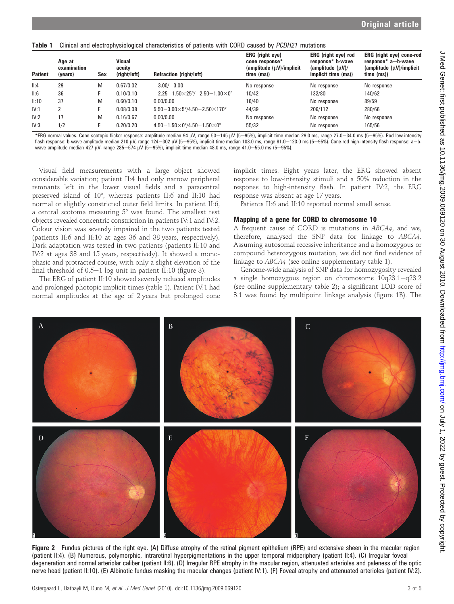| <b>Patient</b> | Age at<br>examination<br>(years) | Sex | <b>Visual</b><br>acuity<br>(right/left) | <b>Refraction (right/left)</b>                                | ERG (right eye)<br>cone response*<br>(amplitude (µV)/implicit)<br>time (ms)) | ERG (right eye) rod<br>response* b-wave<br>$\langle$ amplitude $\langle \mu V \rangle /$<br>implicit time (ms)) | <b>ERG</b> (right eye) cone-rod<br>response* a-b-wave<br>$\langle$ amplitude $\langle \mu V \rangle$ /implicit<br>time (ms) |
|----------------|----------------------------------|-----|-----------------------------------------|---------------------------------------------------------------|------------------------------------------------------------------------------|-----------------------------------------------------------------------------------------------------------------|-----------------------------------------------------------------------------------------------------------------------------|
| II:4           | 29                               | M   | 0.67/0.02                               | $-3.00/-3.00$                                                 | No response                                                                  | No response                                                                                                     | No response                                                                                                                 |
| II:6           | 36                               |     | 0.10/0.10                               | $-2.25-1.50\times25^{\circ}/-2.50-1.00\times0^{\circ}$        | 10/42                                                                        | 132/80                                                                                                          | 140/62                                                                                                                      |
| II:10          | 37                               | M   | 0.60/0.10                               | 0.00/0.00                                                     | 16/40                                                                        | No response                                                                                                     | 89/59                                                                                                                       |
| IV:1           |                                  |     | 0.08/0.08                               | $5.50 - 3.00 \times 5^{\circ}/4.50 - 2.50 \times 170^{\circ}$ | 44/39                                                                        | 206/112                                                                                                         | 280/66                                                                                                                      |
| IV:2           | 17                               | M   | 0.16/0.67                               | 0.00/0.00                                                     | No response                                                                  | No response                                                                                                     | No response                                                                                                                 |
| IV:3           | 1/2                              |     | 0.20/0.20                               | $4.50 - 1.50 \times 0^{\circ}/4.50 - 1.50 \times 0^{\circ}$   | 55/32                                                                        | No response                                                                                                     | 165/56                                                                                                                      |

\*ERG normal values. Cone scotopic flicker response: amplitude median 94 µV, range 53-145 µV (5-95%), implicit time median 29.0 ms, range 27.0-34.0 ms (5-95%). Rod low-intensity flash response: b-wave amplitude median 210 μV, range 124–302 μV (5–95%), implicit time median 103.0 ms, range 81.0–123.0 ms (5–95%). Cone-rod high-intensity flash response: a–b-<br>wave amplitude median 427 μV, range 285–67

Visual field measurements with a large object showed considerable variation; patient II:4 had only narrow peripheral remnants left in the lower visual fields and a paracentral preserved island of 10°, whereas patients II:6 and II:10 had normal or slightly constricted outer field limits. In patient II:6, a central scotoma measuring  $5^{\circ}$  was found. The smallest test objects revealed concentric constriction in patients IV:1 and IV:2. Colour vision was severely impaired in the two patients tested (patients II:6 and II:10 at ages 36 and 38 years, respectively). Dark adaptation was tested in two patients (patients II:10 and IV:2 at ages 38 and 15 years, respectively). It showed a monophasic and protracted course, with only a slight elevation of the final threshold of  $0.5-1$  log unit in patient II:10 (figure 3).

The ERG of patient II:10 showed severely reduced amplitudes and prolonged photopic implicit times (table 1). Patient IV:1 had normal amplitudes at the age of 2 years but prolonged cone implicit times. Eight years later, the ERG showed absent response to low-intensity stimuli and a 50% reduction in the response to high-intensity flash. In patient IV:2, the ERG response was absent at age 17 years.

Patients II:6 and II:10 reported normal smell sense.

### Mapping of a gene for CORD to chromosome 10

A frequent cause of CORD is mutations in ABCA4, and we, therefore, analysed the SNP data for linkage to ABCA4. Assuming autosomal recessive inheritance and a homozygous or compound heterozygous mutation, we did not find evidence of linkage to ABCA4 (see online supplementary table 1).

Genome-wide analysis of SNP data for homozygosity revealed a single homozygous region on chromosome 10q23.1-q23.2 (see online supplementary table 2); a significant LOD score of 3.1 was found by multipoint linkage analysis (figure 1B). The



Figure 2 Fundus pictures of the right eye. (A) Diffuse atrophy of the retinal pigment epithelium (RPE) and extensive sheen in the macular region (patient II:4). (B) Numerous, polymorphic, intraretinal hyperpigmentations in the upper temporal midperiphery (patient II:4). (C) Irregular foveal degeneration and normal arteriolar caliber (patient II:6). (D) Irregular RPE atrophy in the macular region, attenuated arterioles and paleness of the optic nerve head (patient II:10). (E) Albinotic fundus masking the macular changes (patient IV:1). (F) Foveal atrophy and attenuated arterioles (patient IV:2).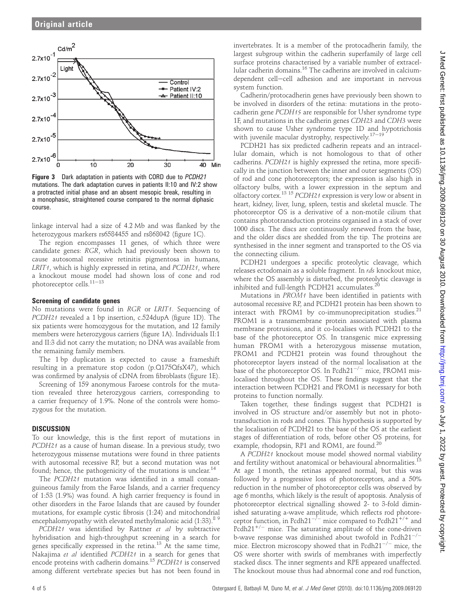

Figure 3 Dark adaptation in patients with CORD due to PCDH21 mutations. The dark adaptation curves in patients II:10 and IV:2 show a protracted initial phase and an absent mesopic break, resulting in a monophasic, straightened course compared to the normal diphasic course.

linkage interval had a size of 4.2 Mb and was flanked by the heterozygous markers rs6584455 and rs868042 (figure 1C).

The region encompasses 11 genes, of which three were candidate genes: RGR, which had previously been shown to cause autosomal recessive retinitis pigmentosa in humans, LRIT<sub>1</sub>, which is highly expressed in retina, and PCDH21, where a knockout mouse model had shown loss of cone and rod photoreceptor cells. $11-13$ 

### Screening of candidate genes

No mutations were found in RGR or LRIT1. Sequencing of PCDH21 revealed a 1 bp insertion, c.524dupA (figure 1D). The six patients were homozygous for the mutation, and 12 family members were heterozygous carriers (figure 1A). Individuals II:1 and II:3 did not carry the mutation; no DNA was available from the remaining family members.

The 1 bp duplication is expected to cause a frameshift resulting in a premature stop codon (p.Q175QfsX47), which was confirmed by analysis of cDNA from fibroblasts (figure 1E).

Screening of 159 anonymous Faroese controls for the mutation revealed three heterozygous carriers, corresponding to a carrier frequency of 1.9%. None of the controls were homozygous for the mutation.

### **DISCUSSION**

To our knowledge, this is the first report of mutations in PCDH21 as a cause of human disease. In a previous study, two heterozygous missense mutations were found in three patients with autosomal recessive RP, but a second mutation was not found; hence, the pathogenicity of the mutations is unclear.<sup>14</sup>

The PCDH21 mutation was identified in a small consanguineous family from the Faroe Islands, and a carrier frequency of 1:53 (1.9%) was found. A high carrier frequency is found in other disorders in the Faroe Islands that are caused by founder mutations, for example cystic fibrosis (1:24) and mitochondrial encephalomyopathy with elevated methylmalonic acid  $(1:33)$ .<sup>89</sup>

PCDH21 was identified by Rattner et al by subtractive hybridisation and high-throughput screening in a search for genes specifically expressed in the retina.<sup>13</sup> At the same time, Nakajima et al identified PCDH21 in a search for genes that encode proteins with cadherin domains.<sup>15</sup> PCDH21 is conserved among different vertebrate species but has not been found in

invertebrates. It is a member of the protocadherin family, the largest subgroup within the cadherin superfamily of large cell surface proteins characterised by a variable number of extracellular cadherin domains.<sup>16</sup> The cadherins are involved in calciumdependent cell-cell adhesion and are important in nervous system function.

Cadherin/protocadherin genes have previously been shown to be involved in disorders of the retina: mutations in the protocadherin gene PCDH15 are responsible for Usher syndrome type 1F, and mutations in the cadherin genes CDH23 and CDH3 were shown to cause Usher syndrome type 1D and hypotrichosis with juvenile macular dystrophy, respectively. $17-19$ 

PCDH21 has six predicted cadherin repeats and an intracellular domain, which is not homologous to that of other cadherins. PCDH21 is highly expressed the retina, more specifically in the junction between the inner and outer segments (OS) of rod and cone photoreceptors; the expression is also high in olfactory bulbs, with a lower expression in the septum and olfactory cortex.13 <sup>15</sup> PCDH21 expression is very low or absent in heart, kidney, liver, lung, spleen, testis and skeletal muscle. The photoreceptor OS is a derivative of a non-motile cilium that contains phototransduction proteins organised in a stack of over 1000 discs. The discs are continuously renewed from the base, and the older discs are shedded from the tip. The proteins are synthesised in the inner segment and transported to the OS via the connecting cilium.

PCDH21 undergoes a specific proteolytic cleavage, which releases ectodomain as a soluble fragment. In rds knockout mice, where the OS assembly is disturbed, the proteolytic cleavage is inhibited and full-length PCDH21 accumulates. $^{20}$ 

Mutations in PROM1 have been identified in patients with autosomal recessive RP, and PCDH21 protein has been shown to interact with PROM1 by co-immunoprecipitation studies. $21$ PROM1 is a transmembrane protein associated with plasma membrane protrusions, and it co-localises with PCDH21 to the base of the photoreceptor OS. In transgenic mice expressing human PROM1 with a heterozygous missense mutation, PROM1 and PCDH21 protein was found throughout the photoreceptor layers instead of the normal localisation at the base of the photoreceptor OS. In Pcdh $21^{-/-}$  mice, PROM1 mislocalised throughout the OS. These findings suggest that the interaction between PCDH21 and PROM1 is necessary for both proteins to function normally.

Taken together, these findings suggest that PCDH21 is involved in OS structure and/or assembly but not in phototransduction in rods and cones. This hypothesis is supported by the localisation of PCDH21 to the base of the OS at the earliest stages of differentiation of rods, before other OS proteins, for example, rhodopsin, RP1 and ROM1, are found.<sup>20</sup>

A PCDH21 knockout mouse model showed normal viability and fertility without anatomical or behavioural abnormalities.<sup>13</sup> At age 1 month, the retinas appeared normal, but this was followed by a progressive loss of photoreceptors, and a 50% reduction in the number of photoreceptor cells was observed by age 6 months, which likely is the result of apoptosis. Analysis of photoreceptor electrical signalling showed 2- to 3-fold diminished saturating a-wave amplitude, which reflects rod photoreceptor function, in Pcdh21<sup>-/-</sup> mice compared to Pcdh21<sup>+/+</sup> and Pcdh21<sup>+/-</sup> mice. The saturating amplitude of the cone-driven b-wave response was diminished about twofold in  $Pcdh21^{-/-}$ mice. Electron microscopy showed that in  $Pcdh21^{-/-}$  mice, the OS were shorter with swirls of membranes with imperfectly stacked discs. The inner segments and RPE appeared unaffected. The knockout mouse thus had abnormal cone and rod function,